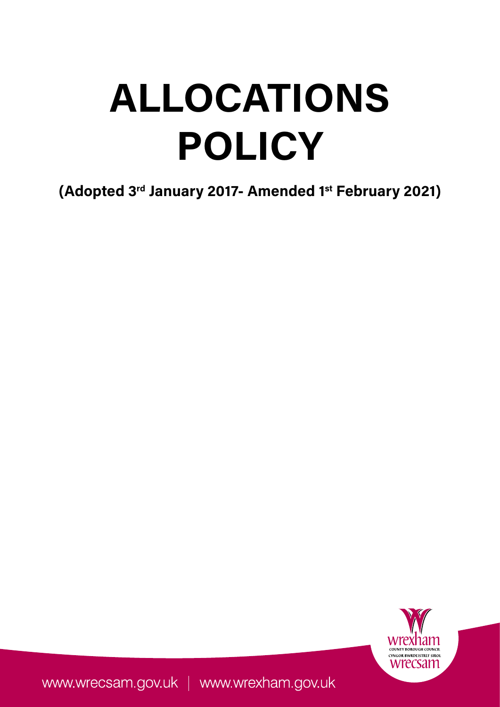# **ALLOCATIONS POLICY**

**(Adopted 3rd January 2017- Amended 1st February 2021)**



www.wrecsam.gov.uk | www.wrexham.gov.uk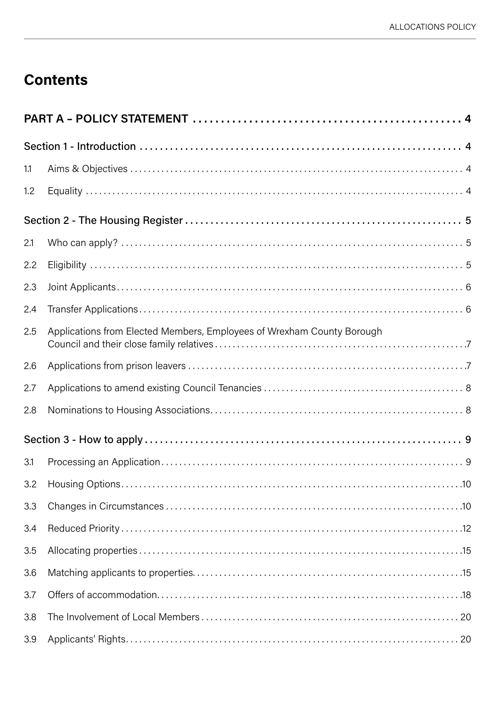# **Contents**

| 1.1 |                                                                        |  |  |  |
|-----|------------------------------------------------------------------------|--|--|--|
| 1.2 |                                                                        |  |  |  |
|     |                                                                        |  |  |  |
| 2.1 |                                                                        |  |  |  |
| 2.2 |                                                                        |  |  |  |
| 2.3 |                                                                        |  |  |  |
| 2.4 |                                                                        |  |  |  |
| 2.5 | Applications from Elected Members, Employees of Wrexham County Borough |  |  |  |
| 2.6 |                                                                        |  |  |  |
| 2.7 |                                                                        |  |  |  |
| 2.8 |                                                                        |  |  |  |
|     |                                                                        |  |  |  |
| 3.1 |                                                                        |  |  |  |
|     |                                                                        |  |  |  |
| 3.3 |                                                                        |  |  |  |
| 3.4 |                                                                        |  |  |  |
| 3.5 |                                                                        |  |  |  |
| 3.6 |                                                                        |  |  |  |
| 3.7 |                                                                        |  |  |  |
| 3.8 |                                                                        |  |  |  |
| 3.9 |                                                                        |  |  |  |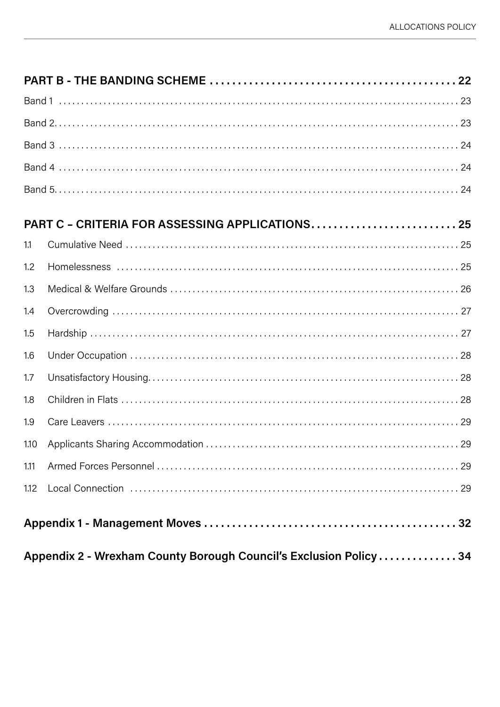|                                                                  | PART C - CRITERIA FOR ASSESSING APPLICATIONS 25                                                                    |  |  |
|------------------------------------------------------------------|--------------------------------------------------------------------------------------------------------------------|--|--|
| 1.1                                                              |                                                                                                                    |  |  |
| 1.2                                                              |                                                                                                                    |  |  |
| 1.3                                                              |                                                                                                                    |  |  |
| 1.4                                                              |                                                                                                                    |  |  |
| 1.5                                                              |                                                                                                                    |  |  |
| 1.6                                                              |                                                                                                                    |  |  |
| 1.7                                                              |                                                                                                                    |  |  |
| 1.8                                                              |                                                                                                                    |  |  |
| 1.9                                                              |                                                                                                                    |  |  |
| 1.10                                                             |                                                                                                                    |  |  |
| 1.11                                                             |                                                                                                                    |  |  |
| 1.12                                                             | Local Connection (and all and all and all and all and all and all and all and all and all and all and all and $29$ |  |  |
|                                                                  |                                                                                                                    |  |  |
| Appendix 2 - Wrexham County Borough Council's Exclusion Policy34 |                                                                                                                    |  |  |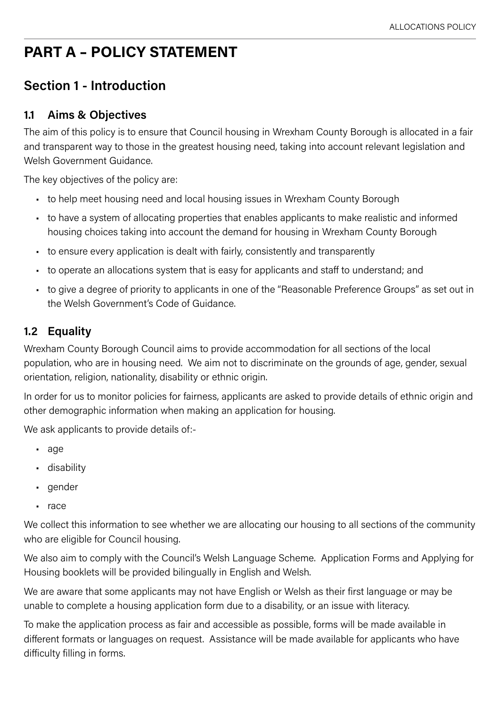# <span id="page-3-0"></span>**PART A – POLICY STATEMENT**

# **Section 1 - Introduction**

# **1.1 Aims & Objectives**

The aim of this policy is to ensure that Council housing in Wrexham County Borough is allocated in a fair and transparent way to those in the greatest housing need, taking into account relevant legislation and Welsh Government Guidance.

The key objectives of the policy are:

- to help meet housing need and local housing issues in Wrexham County Borough
- to have a system of allocating properties that enables applicants to make realistic and informed housing choices taking into account the demand for housing in Wrexham County Borough
- to ensure every application is dealt with fairly, consistently and transparently
- to operate an allocations system that is easy for applicants and staff to understand; and
- to give a degree of priority to applicants in one of the "Reasonable Preference Groups" as set out in the Welsh Government's Code of Guidance.

# **1.2 Equality**

Wrexham County Borough Council aims to provide accommodation for all sections of the local population, who are in housing need. We aim not to discriminate on the grounds of age, gender, sexual orientation, religion, nationality, disability or ethnic origin.

In order for us to monitor policies for fairness, applicants are asked to provide details of ethnic origin and other demographic information when making an application for housing.

We ask applicants to provide details of:-

- age
- disability
- gender
- race

We collect this information to see whether we are allocating our housing to all sections of the community who are eligible for Council housing.

We also aim to comply with the Council's Welsh Language Scheme. Application Forms and Applying for Housing booklets will be provided bilingually in English and Welsh.

We are aware that some applicants may not have English or Welsh as their first language or may be unable to complete a housing application form due to a disability, or an issue with literacy.

To make the application process as fair and accessible as possible, forms will be made available in different formats or languages on request. Assistance will be made available for applicants who have difficulty filling in forms.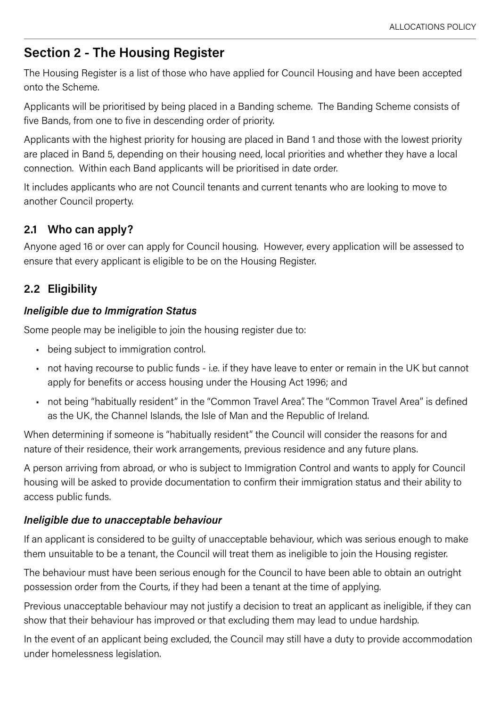# <span id="page-4-0"></span>**Section 2 - The Housing Register**

The Housing Register is a list of those who have applied for Council Housing and have been accepted onto the Scheme.

Applicants will be prioritised by being placed in a Banding scheme. The Banding Scheme consists of five Bands, from one to five in descending order of priority.

Applicants with the highest priority for housing are placed in Band 1 and those with the lowest priority are placed in Band 5, depending on their housing need, local priorities and whether they have a local connection. Within each Band applicants will be prioritised in date order.

It includes applicants who are not Council tenants and current tenants who are looking to move to another Council property.

# **2.1 Who can apply?**

Anyone aged 16 or over can apply for Council housing. However, every application will be assessed to ensure that every applicant is eligible to be on the Housing Register.

# **2.2 Eligibility**

#### *Ineligible due to Immigration Status*

Some people may be ineligible to join the housing register due to:

- being subject to immigration control.
- not having recourse to public funds i.e. if they have leave to enter or remain in the UK but cannot apply for benefits or access housing under the Housing Act 1996; and
- not being "habitually resident" in the "Common Travel Area". The "Common Travel Area" is defined as the UK, the Channel Islands, the Isle of Man and the Republic of Ireland.

When determining if someone is "habitually resident" the Council will consider the reasons for and nature of their residence, their work arrangements, previous residence and any future plans.

A person arriving from abroad, or who is subject to Immigration Control and wants to apply for Council housing will be asked to provide documentation to confirm their immigration status and their ability to access public funds.

#### *Ineligible due to unacceptable behaviour*

If an applicant is considered to be guilty of unacceptable behaviour, which was serious enough to make them unsuitable to be a tenant, the Council will treat them as ineligible to join the Housing register.

The behaviour must have been serious enough for the Council to have been able to obtain an outright possession order from the Courts, if they had been a tenant at the time of applying.

Previous unacceptable behaviour may not justify a decision to treat an applicant as ineligible, if they can show that their behaviour has improved or that excluding them may lead to undue hardship.

In the event of an applicant being excluded, the Council may still have a duty to provide accommodation under homelessness legislation.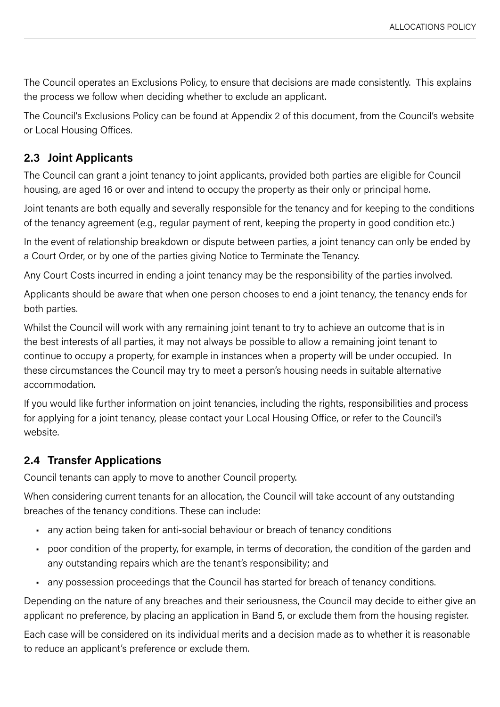<span id="page-5-0"></span>The Council operates an Exclusions Policy, to ensure that decisions are made consistently. This explains the process we follow when deciding whether to exclude an applicant.

The Council's Exclusions Policy can be found at Appendix 2 of this document, from the Council's website or Local Housing Offices.

# **2.3 Joint Applicants**

The Council can grant a joint tenancy to joint applicants, provided both parties are eligible for Council housing, are aged 16 or over and intend to occupy the property as their only or principal home.

Joint tenants are both equally and severally responsible for the tenancy and for keeping to the conditions of the tenancy agreement (e.g., regular payment of rent, keeping the property in good condition etc.)

In the event of relationship breakdown or dispute between parties, a joint tenancy can only be ended by a Court Order, or by one of the parties giving Notice to Terminate the Tenancy.

Any Court Costs incurred in ending a joint tenancy may be the responsibility of the parties involved.

Applicants should be aware that when one person chooses to end a joint tenancy, the tenancy ends for both parties.

Whilst the Council will work with any remaining joint tenant to try to achieve an outcome that is in the best interests of all parties, it may not always be possible to allow a remaining joint tenant to continue to occupy a property, for example in instances when a property will be under occupied. In these circumstances the Council may try to meet a person's housing needs in suitable alternative accommodation.

If you would like further information on joint tenancies, including the rights, responsibilities and process for applying for a joint tenancy, please contact your Local Housing Office, or refer to the Council's website.

# **2.4 Transfer Applications**

Council tenants can apply to move to another Council property.

When considering current tenants for an allocation, the Council will take account of any outstanding breaches of the tenancy conditions. These can include:

- any action being taken for anti-social behaviour or breach of tenancy conditions
- poor condition of the property, for example, in terms of decoration, the condition of the garden and any outstanding repairs which are the tenant's responsibility; and
- any possession proceedings that the Council has started for breach of tenancy conditions.

Depending on the nature of any breaches and their seriousness, the Council may decide to either give an applicant no preference, by placing an application in Band 5, or exclude them from the housing register.

Each case will be considered on its individual merits and a decision made as to whether it is reasonable to reduce an applicant's preference or exclude them.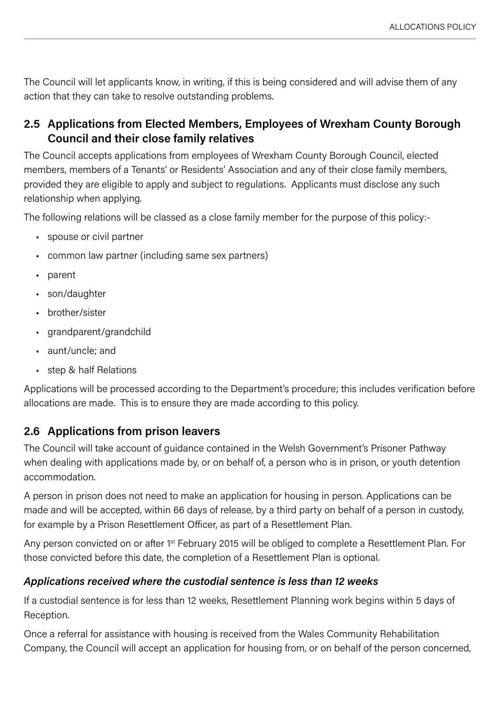<span id="page-6-0"></span>The Council will let applicants know, in writing, if this is being considered and will advise them of any action that they can take to resolve outstanding problems.

# **2.5 Applications from Elected Members, Employees of Wrexham County Borough Council and their close family relatives**

The Council accepts applications from employees of Wrexham County Borough Council, elected members, members of a Tenants' or Residents' Association and any of their close family members, provided they are eligible to apply and subject to regulations. Applicants must disclose any such relationship when applying.

The following relations will be classed as a close family member for the purpose of this policy:-

- spouse or civil partner
- common law partner (including same sex partners)
- parent
- son/daughter
- brother/sister
- grandparent/grandchild
- aunt/uncle; and
- step & half Relations

Applications will be processed according to the Department's procedure; this includes verification before allocations are made. This is to ensure they are made according to this policy.

# **2.6 Applications from prison leavers**

The Council will take account of guidance contained in the Welsh Government's Prisoner Pathway when dealing with applications made by, or on behalf of, a person who is in prison, or youth detention accommodation.

A person in prison does not need to make an application for housing in person. Applications can be made and will be accepted, within 66 days of release, by a third party on behalf of a person in custody, for example by a Prison Resettlement Officer, as part of a Resettlement Plan.

Any person convicted on or after 1<sup>st</sup> February 2015 will be obliged to complete a Resettlement Plan. For those convicted before this date, the completion of a Resettlement Plan is optional.

#### *Applications received where the custodial sentence is less than 12 weeks*

If a custodial sentence is for less than 12 weeks, Resettlement Planning work begins within 5 days of Reception.

Once a referral for assistance with housing is received from the Wales Community Rehabilitation Company, the Council will accept an application for housing from, or on behalf of the person concerned,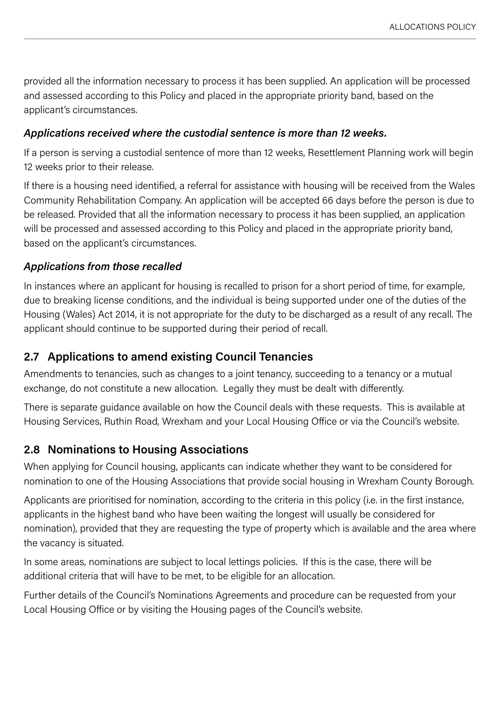<span id="page-7-0"></span>provided all the information necessary to process it has been supplied. An application will be processed and assessed according to this Policy and placed in the appropriate priority band, based on the applicant's circumstances.

#### *Applications received where the custodial sentence is more than 12 weeks.*

If a person is serving a custodial sentence of more than 12 weeks, Resettlement Planning work will begin 12 weeks prior to their release.

If there is a housing need identified, a referral for assistance with housing will be received from the Wales Community Rehabilitation Company. An application will be accepted 66 days before the person is due to be released. Provided that all the information necessary to process it has been supplied, an application will be processed and assessed according to this Policy and placed in the appropriate priority band, based on the applicant's circumstances.

#### *Applications from those recalled*

In instances where an applicant for housing is recalled to prison for a short period of time, for example, due to breaking license conditions, and the individual is being supported under one of the duties of the Housing (Wales) Act 2014, it is not appropriate for the duty to be discharged as a result of any recall. The applicant should continue to be supported during their period of recall.

# **2.7 Applications to amend existing Council Tenancies**

Amendments to tenancies, such as changes to a joint tenancy, succeeding to a tenancy or a mutual exchange, do not constitute a new allocation. Legally they must be dealt with differently.

There is separate guidance available on how the Council deals with these requests. This is available at Housing Services, Ruthin Road, Wrexham and your Local Housing Office or via the Council's website.

# **2.8 Nominations to Housing Associations**

When applying for Council housing, applicants can indicate whether they want to be considered for nomination to one of the Housing Associations that provide social housing in Wrexham County Borough.

Applicants are prioritised for nomination, according to the criteria in this policy (i.e. in the first instance, applicants in the highest band who have been waiting the longest will usually be considered for nomination), provided that they are requesting the type of property which is available and the area where the vacancy is situated.

In some areas, nominations are subject to local lettings policies. If this is the case, there will be additional criteria that will have to be met, to be eligible for an allocation.

Further details of the Council's Nominations Agreements and procedure can be requested from your Local Housing Office or by visiting the Housing pages of the Council's website.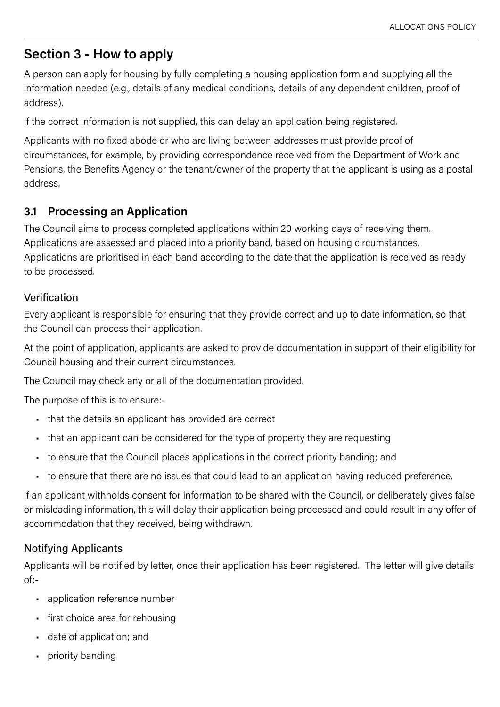# <span id="page-8-0"></span>**Section 3 - How to apply**

A person can apply for housing by fully completing a housing application form and supplying all the information needed (e.g., details of any medical conditions, details of any dependent children, proof of address).

If the correct information is not supplied, this can delay an application being registered.

Applicants with no fixed abode or who are living between addresses must provide proof of circumstances, for example, by providing correspondence received from the Department of Work and Pensions, the Benefits Agency or the tenant/owner of the property that the applicant is using as a postal address.

# **3.1 Processing an Application**

The Council aims to process completed applications within 20 working days of receiving them. Applications are assessed and placed into a priority band, based on housing circumstances. Applications are prioritised in each band according to the date that the application is received as ready to be processed.

#### Verification

Every applicant is responsible for ensuring that they provide correct and up to date information, so that the Council can process their application.

At the point of application, applicants are asked to provide documentation in support of their eligibility for Council housing and their current circumstances.

The Council may check any or all of the documentation provided.

The purpose of this is to ensure:-

- that the details an applicant has provided are correct
- that an applicant can be considered for the type of property they are requesting
- to ensure that the Council places applications in the correct priority banding; and
- to ensure that there are no issues that could lead to an application having reduced preference.

If an applicant withholds consent for information to be shared with the Council, or deliberately gives false or misleading information, this will delay their application being processed and could result in any offer of accommodation that they received, being withdrawn.

# Notifying Applicants

Applicants will be notified by letter, once their application has been registered. The letter will give details of:-

- application reference number
- first choice area for rehousing
- date of application; and
- priority banding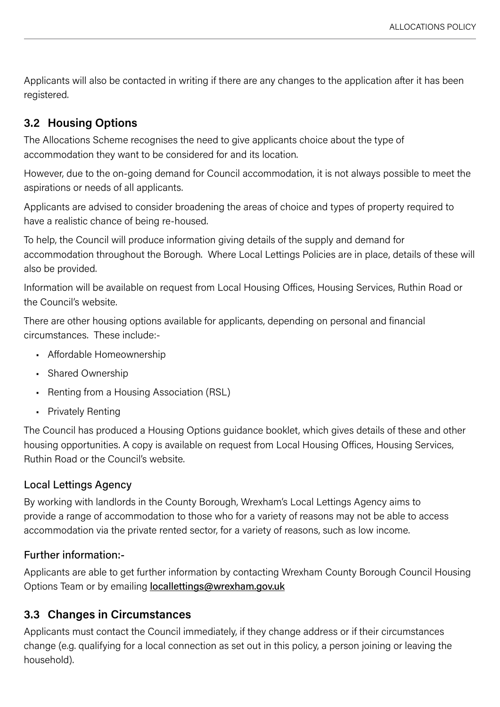<span id="page-9-0"></span>Applicants will also be contacted in writing if there are any changes to the application after it has been registered.

# **3.2 Housing Options**

The Allocations Scheme recognises the need to give applicants choice about the type of accommodation they want to be considered for and its location.

However, due to the on-going demand for Council accommodation, it is not always possible to meet the aspirations or needs of all applicants.

Applicants are advised to consider broadening the areas of choice and types of property required to have a realistic chance of being re-housed.

To help, the Council will produce information giving details of the supply and demand for accommodation throughout the Borough. Where Local Lettings Policies are in place, details of these will also be provided.

Information will be available on request from Local Housing Offices, Housing Services, Ruthin Road or the Council's website.

There are other housing options available for applicants, depending on personal and financial circumstances. These include:-

- Affordable Homeownership
- Shared Ownership
- Renting from a Housing Association (RSL)
- Privately Renting

The Council has produced a Housing Options guidance booklet, which gives details of these and other housing opportunities. A copy is available on request from Local Housing Offices, Housing Services, Ruthin Road or the Council's website.

# Local Lettings Agency

By working with landlords in the County Borough, Wrexham's Local Lettings Agency aims to provide a range of accommodation to those who for a variety of reasons may not be able to access accommodation via the private rented sector, for a variety of reasons, such as low income.

#### Further information:-

Applicants are able to get further information by contacting Wrexham County Borough Council Housing Options Team or by emailing **[locallettings@wrexham.gov.uk](mailto:locallettings%40wrexham.gov.uk?subject=)** 

# **3.3 Changes in Circumstances**

Applicants must contact the Council immediately, if they change address or if their circumstances change (e.g. qualifying for a local connection as set out in this policy, a person joining or leaving the household).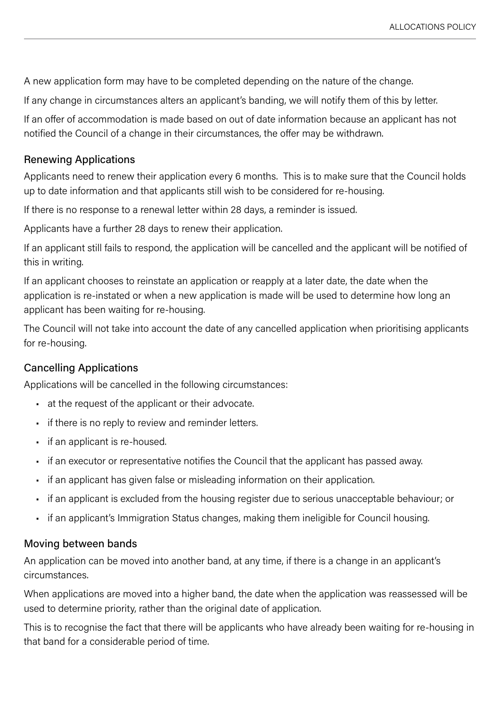A new application form may have to be completed depending on the nature of the change.

If any change in circumstances alters an applicant's banding, we will notify them of this by letter.

If an offer of accommodation is made based on out of date information because an applicant has not notified the Council of a change in their circumstances, the offer may be withdrawn.

#### Renewing Applications

Applicants need to renew their application every 6 months. This is to make sure that the Council holds up to date information and that applicants still wish to be considered for re-housing.

If there is no response to a renewal letter within 28 days, a reminder is issued.

Applicants have a further 28 days to renew their application.

If an applicant still fails to respond, the application will be cancelled and the applicant will be notified of this in writing.

If an applicant chooses to reinstate an application or reapply at a later date, the date when the application is re-instated or when a new application is made will be used to determine how long an applicant has been waiting for re-housing.

The Council will not take into account the date of any cancelled application when prioritising applicants for re-housing.

#### Cancelling Applications

Applications will be cancelled in the following circumstances:

- at the request of the applicant or their advocate.
- if there is no reply to review and reminder letters.
- if an applicant is re-housed.
- if an executor or representative notifies the Council that the applicant has passed away.
- if an applicant has given false or misleading information on their application.
- if an applicant is excluded from the housing register due to serious unacceptable behaviour; or
- if an applicant's Immigration Status changes, making them ineligible for Council housing.

#### Moving between bands

An application can be moved into another band, at any time, if there is a change in an applicant's circumstances.

When applications are moved into a higher band, the date when the application was reassessed will be used to determine priority, rather than the original date of application.

This is to recognise the fact that there will be applicants who have already been waiting for re-housing in that band for a considerable period of time.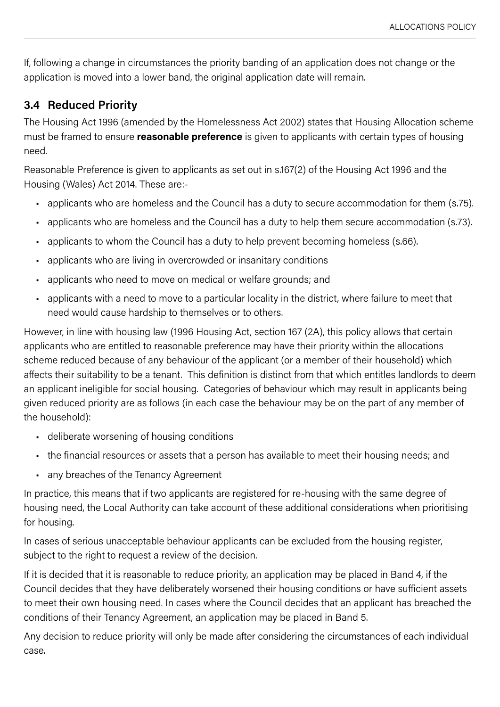<span id="page-11-0"></span>If, following a change in circumstances the priority banding of an application does not change or the application is moved into a lower band, the original application date will remain.

# **3.4 Reduced Priority**

The Housing Act 1996 (amended by the Homelessness Act 2002) states that Housing Allocation scheme must be framed to ensure **reasonable preference** is given to applicants with certain types of housing need.

Reasonable Preference is given to applicants as set out in s.167(2) of the Housing Act 1996 and the Housing (Wales) Act 2014. These are:-

- applicants who are homeless and the Council has a duty to secure accommodation for them (s.75).
- applicants who are homeless and the Council has a duty to help them secure accommodation (s.73).
- applicants to whom the Council has a duty to help prevent becoming homeless (s.66).
- applicants who are living in overcrowded or insanitary conditions
- applicants who need to move on medical or welfare grounds; and
- applicants with a need to move to a particular locality in the district, where failure to meet that need would cause hardship to themselves or to others.

However, in line with housing law (1996 Housing Act, section 167 (2A), this policy allows that certain applicants who are entitled to reasonable preference may have their priority within the allocations scheme reduced because of any behaviour of the applicant (or a member of their household) which affects their suitability to be a tenant. This definition is distinct from that which entitles landlords to deem an applicant ineligible for social housing. Categories of behaviour which may result in applicants being given reduced priority are as follows (in each case the behaviour may be on the part of any member of the household):

- deliberate worsening of housing conditions
- the financial resources or assets that a person has available to meet their housing needs; and
- any breaches of the Tenancy Agreement

In practice, this means that if two applicants are registered for re-housing with the same degree of housing need, the Local Authority can take account of these additional considerations when prioritising for housing.

In cases of serious unacceptable behaviour applicants can be excluded from the housing register, subject to the right to request a review of the decision.

If it is decided that it is reasonable to reduce priority, an application may be placed in Band 4, if the Council decides that they have deliberately worsened their housing conditions or have sufficient assets to meet their own housing need. In cases where the Council decides that an applicant has breached the conditions of their Tenancy Agreement, an application may be placed in Band 5.

Any decision to reduce priority will only be made after considering the circumstances of each individual case.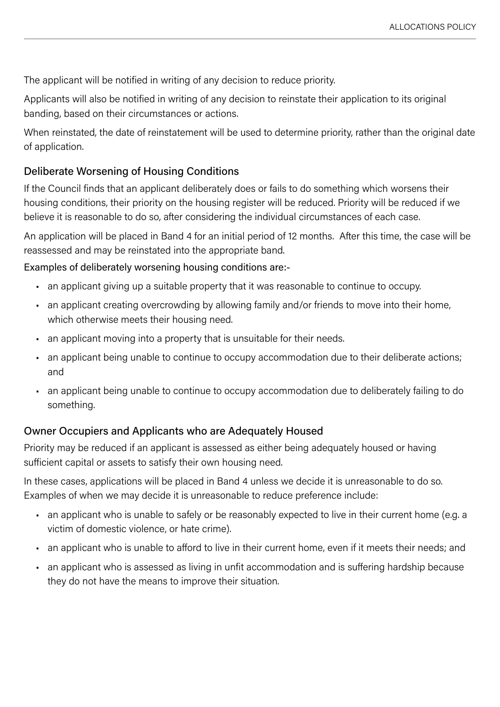The applicant will be notified in writing of any decision to reduce priority.

Applicants will also be notified in writing of any decision to reinstate their application to its original banding, based on their circumstances or actions.

When reinstated, the date of reinstatement will be used to determine priority, rather than the original date of application.

#### Deliberate Worsening of Housing Conditions

If the Council finds that an applicant deliberately does or fails to do something which worsens their housing conditions, their priority on the housing register will be reduced. Priority will be reduced if we believe it is reasonable to do so, after considering the individual circumstances of each case.

An application will be placed in Band 4 for an initial period of 12 months. After this time, the case will be reassessed and may be reinstated into the appropriate band.

Examples of deliberately worsening housing conditions are:-

- an applicant giving up a suitable property that it was reasonable to continue to occupy.
- an applicant creating overcrowding by allowing family and/or friends to move into their home, which otherwise meets their housing need.
- an applicant moving into a property that is unsuitable for their needs.
- an applicant being unable to continue to occupy accommodation due to their deliberate actions; and
- an applicant being unable to continue to occupy accommodation due to deliberately failing to do something.

#### Owner Occupiers and Applicants who are Adequately Housed

Priority may be reduced if an applicant is assessed as either being adequately housed or having sufficient capital or assets to satisfy their own housing need.

In these cases, applications will be placed in Band 4 unless we decide it is unreasonable to do so. Examples of when we may decide it is unreasonable to reduce preference include:

- an applicant who is unable to safely or be reasonably expected to live in their current home (e.g. a victim of domestic violence, or hate crime).
- an applicant who is unable to afford to live in their current home, even if it meets their needs; and
- an applicant who is assessed as living in unfit accommodation and is suffering hardship because they do not have the means to improve their situation.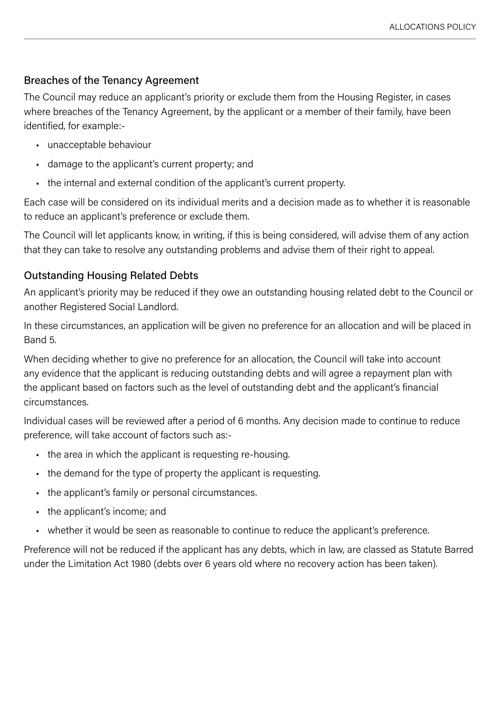#### Breaches of the Tenancy Agreement

The Council may reduce an applicant's priority or exclude them from the Housing Register, in cases where breaches of the Tenancy Agreement, by the applicant or a member of their family, have been identified, for example:-

- unacceptable behaviour
- damage to the applicant's current property; and
- the internal and external condition of the applicant's current property.

Each case will be considered on its individual merits and a decision made as to whether it is reasonable to reduce an applicant's preference or exclude them.

The Council will let applicants know, in writing, if this is being considered, will advise them of any action that they can take to resolve any outstanding problems and advise them of their right to appeal.

#### Outstanding Housing Related Debts

An applicant's priority may be reduced if they owe an outstanding housing related debt to the Council or another Registered Social Landlord.

In these circumstances, an application will be given no preference for an allocation and will be placed in Band 5.

When deciding whether to give no preference for an allocation, the Council will take into account any evidence that the applicant is reducing outstanding debts and will agree a repayment plan with the applicant based on factors such as the level of outstanding debt and the applicant's financial circumstances.

Individual cases will be reviewed after a period of 6 months. Any decision made to continue to reduce preference, will take account of factors such as:-

- the area in which the applicant is requesting re-housing.
- the demand for the type of property the applicant is requesting.
- the applicant's family or personal circumstances.
- the applicant's income; and
- whether it would be seen as reasonable to continue to reduce the applicant's preference.

Preference will not be reduced if the applicant has any debts, which in law, are classed as Statute Barred under the Limitation Act 1980 (debts over 6 years old where no recovery action has been taken).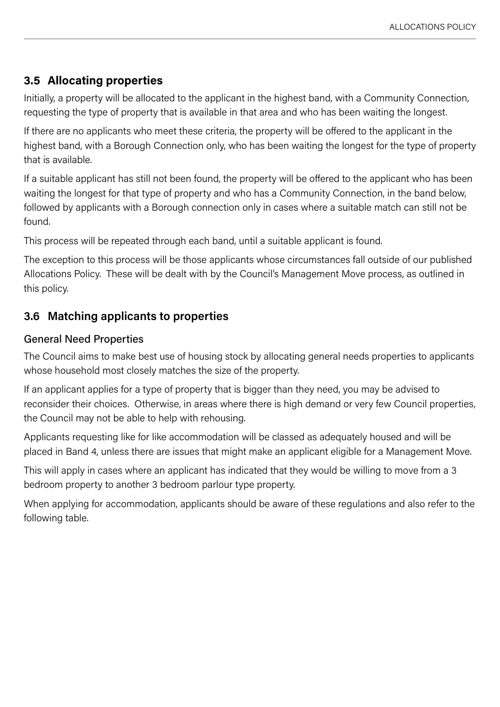# <span id="page-14-0"></span>**3.5 Allocating properties**

Initially, a property will be allocated to the applicant in the highest band, with a Community Connection, requesting the type of property that is available in that area and who has been waiting the longest.

If there are no applicants who meet these criteria, the property will be offered to the applicant in the highest band, with a Borough Connection only, who has been waiting the longest for the type of property that is available.

If a suitable applicant has still not been found, the property will be offered to the applicant who has been waiting the longest for that type of property and who has a Community Connection, in the band below, followed by applicants with a Borough connection only in cases where a suitable match can still not be found.

This process will be repeated through each band, until a suitable applicant is found.

The exception to this process will be those applicants whose circumstances fall outside of our published Allocations Policy. These will be dealt with by the Council's Management Move process, as outlined in this policy.

# **3.6 Matching applicants to properties**

#### General Need Properties

The Council aims to make best use of housing stock by allocating general needs properties to applicants whose household most closely matches the size of the property.

If an applicant applies for a type of property that is bigger than they need, you may be advised to reconsider their choices. Otherwise, in areas where there is high demand or very few Council properties, the Council may not be able to help with rehousing.

Applicants requesting like for like accommodation will be classed as adequately housed and will be placed in Band 4, unless there are issues that might make an applicant eligible for a Management Move.

This will apply in cases where an applicant has indicated that they would be willing to move from a 3 bedroom property to another 3 bedroom parlour type property.

When applying for accommodation, applicants should be aware of these regulations and also refer to the following table.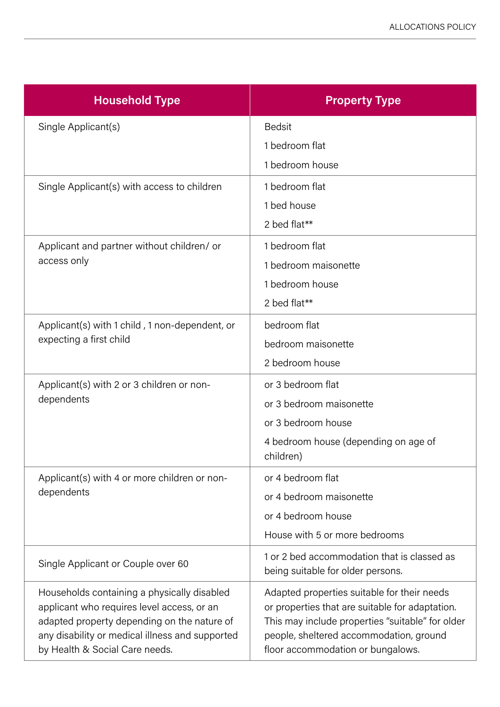| <b>Household Type</b>                                                                                                                                                                                                         | <b>Property Type</b>                                                                                                                                                                                                               |
|-------------------------------------------------------------------------------------------------------------------------------------------------------------------------------------------------------------------------------|------------------------------------------------------------------------------------------------------------------------------------------------------------------------------------------------------------------------------------|
| Single Applicant(s)                                                                                                                                                                                                           | <b>Bedsit</b>                                                                                                                                                                                                                      |
|                                                                                                                                                                                                                               | 1 bedroom flat                                                                                                                                                                                                                     |
|                                                                                                                                                                                                                               | 1 bedroom house                                                                                                                                                                                                                    |
| Single Applicant(s) with access to children                                                                                                                                                                                   | 1 bedroom flat                                                                                                                                                                                                                     |
|                                                                                                                                                                                                                               | 1 bed house                                                                                                                                                                                                                        |
|                                                                                                                                                                                                                               | 2 bed flat**                                                                                                                                                                                                                       |
| Applicant and partner without children/or<br>access only                                                                                                                                                                      | 1 bedroom flat                                                                                                                                                                                                                     |
|                                                                                                                                                                                                                               | 1 bedroom maisonette                                                                                                                                                                                                               |
|                                                                                                                                                                                                                               | 1 bedroom house                                                                                                                                                                                                                    |
|                                                                                                                                                                                                                               | 2 bed flat**                                                                                                                                                                                                                       |
| Applicant(s) with 1 child, 1 non-dependent, or                                                                                                                                                                                | bedroom flat                                                                                                                                                                                                                       |
| expecting a first child                                                                                                                                                                                                       | bedroom maisonette                                                                                                                                                                                                                 |
|                                                                                                                                                                                                                               | 2 bedroom house                                                                                                                                                                                                                    |
| Applicant(s) with 2 or 3 children or non-<br>dependents                                                                                                                                                                       | or 3 bedroom flat                                                                                                                                                                                                                  |
|                                                                                                                                                                                                                               | or 3 bedroom maisonette                                                                                                                                                                                                            |
|                                                                                                                                                                                                                               | or 3 bedroom house                                                                                                                                                                                                                 |
|                                                                                                                                                                                                                               | 4 bedroom house (depending on age of<br>children)                                                                                                                                                                                  |
| Applicant(s) with 4 or more children or non-                                                                                                                                                                                  | or 4 bedroom flat                                                                                                                                                                                                                  |
| dependents                                                                                                                                                                                                                    | or 4 bedroom maisonette                                                                                                                                                                                                            |
|                                                                                                                                                                                                                               | or 4 bedroom house                                                                                                                                                                                                                 |
|                                                                                                                                                                                                                               | House with 5 or more bedrooms                                                                                                                                                                                                      |
| Single Applicant or Couple over 60                                                                                                                                                                                            | 1 or 2 bed accommodation that is classed as<br>being suitable for older persons.                                                                                                                                                   |
| Households containing a physically disabled<br>applicant who requires level access, or an<br>adapted property depending on the nature of<br>any disability or medical illness and supported<br>by Health & Social Care needs. | Adapted properties suitable for their needs<br>or properties that are suitable for adaptation.<br>This may include properties "suitable" for older<br>people, sheltered accommodation, ground<br>floor accommodation or bungalows. |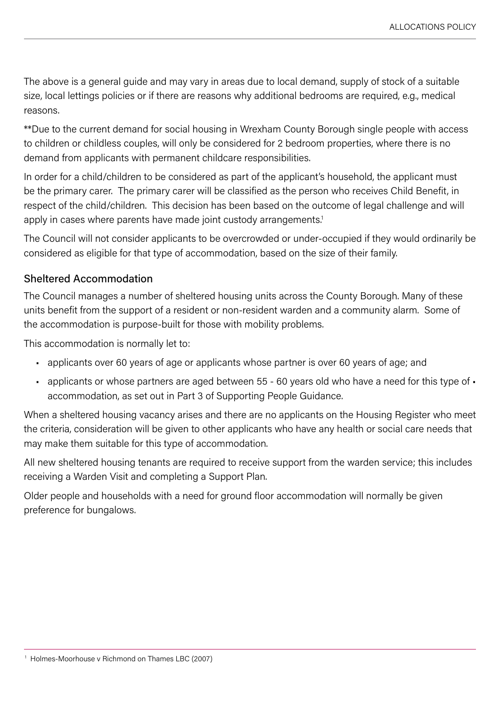The above is a general guide and may vary in areas due to local demand, supply of stock of a suitable size, local lettings policies or if there are reasons why additional bedrooms are required, e.g., medical reasons.

\*\*Due to the current demand for social housing in Wrexham County Borough single people with access to children or childless couples, will only be considered for 2 bedroom properties, where there is no demand from applicants with permanent childcare responsibilities.

In order for a child/children to be considered as part of the applicant's household, the applicant must be the primary carer. The primary carer will be classified as the person who receives Child Benefit, in respect of the child/children. This decision has been based on the outcome of legal challenge and will apply in cases where parents have made joint custody arrangements.<sup>1</sup>

The Council will not consider applicants to be overcrowded or under-occupied if they would ordinarily be considered as eligible for that type of accommodation, based on the size of their family.

#### Sheltered Accommodation

The Council manages a number of sheltered housing units across the County Borough. Many of these units benefit from the support of a resident or non-resident warden and a community alarm. Some of the accommodation is purpose-built for those with mobility problems.

This accommodation is normally let to:

- applicants over 60 years of age or applicants whose partner is over 60 years of age; and
- applicants or whose partners are aged between 55 60 years old who have a need for this type of accommodation, as set out in Part 3 of Supporting People Guidance.

When a sheltered housing vacancy arises and there are no applicants on the Housing Register who meet the criteria, consideration will be given to other applicants who have any health or social care needs that may make them suitable for this type of accommodation.

All new sheltered housing tenants are required to receive support from the warden service; this includes receiving a Warden Visit and completing a Support Plan.

Older people and households with a need for ground floor accommodation will normally be given preference for bungalows.

<sup>&</sup>lt;sup>1</sup> Holmes-Moorhouse v Richmond on Thames LBC (2007)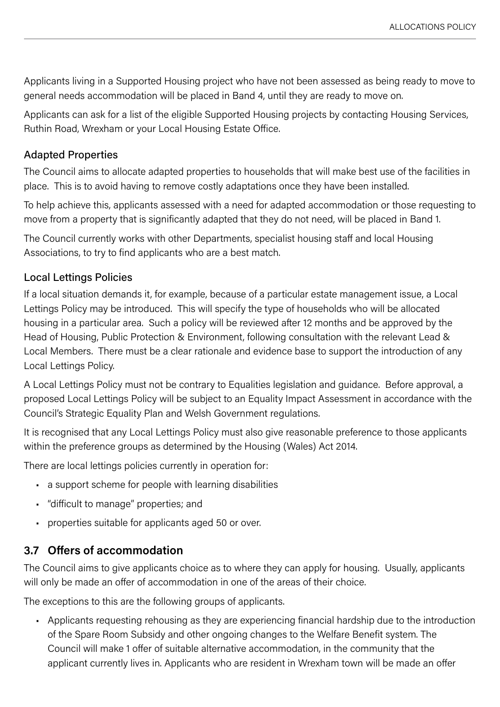<span id="page-17-0"></span>Applicants living in a Supported Housing project who have not been assessed as being ready to move to general needs accommodation will be placed in Band 4, until they are ready to move on.

Applicants can ask for a list of the eligible Supported Housing projects by contacting Housing Services, Ruthin Road, Wrexham or your Local Housing Estate Office.

#### Adapted Properties

The Council aims to allocate adapted properties to households that will make best use of the facilities in place. This is to avoid having to remove costly adaptations once they have been installed.

To help achieve this, applicants assessed with a need for adapted accommodation or those requesting to move from a property that is significantly adapted that they do not need, will be placed in Band 1.

The Council currently works with other Departments, specialist housing staff and local Housing Associations, to try to find applicants who are a best match.

#### Local Lettings Policies

If a local situation demands it, for example, because of a particular estate management issue, a Local Lettings Policy may be introduced. This will specify the type of households who will be allocated housing in a particular area. Such a policy will be reviewed after 12 months and be approved by the Head of Housing, Public Protection & Environment, following consultation with the relevant Lead & Local Members. There must be a clear rationale and evidence base to support the introduction of any Local Lettings Policy.

A Local Lettings Policy must not be contrary to Equalities legislation and guidance. Before approval, a proposed Local Lettings Policy will be subject to an Equality Impact Assessment in accordance with the Council's Strategic Equality Plan and Welsh Government regulations.

It is recognised that any Local Lettings Policy must also give reasonable preference to those applicants within the preference groups as determined by the Housing (Wales) Act 2014.

There are local lettings policies currently in operation for:

- a support scheme for people with learning disabilities
- "difficult to manage" properties; and
- properties suitable for applicants aged 50 or over.

# **3.7 Offers of accommodation**

The Council aims to give applicants choice as to where they can apply for housing. Usually, applicants will only be made an offer of accommodation in one of the areas of their choice.

The exceptions to this are the following groups of applicants.

• Applicants requesting rehousing as they are experiencing financial hardship due to the introduction of the Spare Room Subsidy and other ongoing changes to the Welfare Benefit system. The Council will make 1 offer of suitable alternative accommodation, in the community that the applicant currently lives in. Applicants who are resident in Wrexham town will be made an offer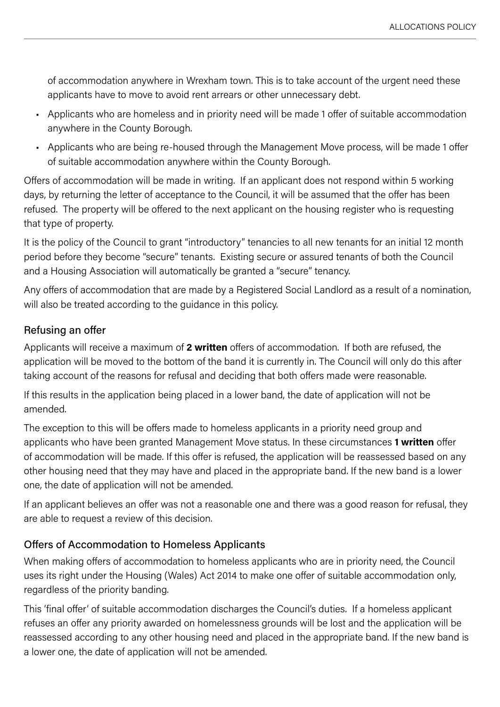of accommodation anywhere in Wrexham town. This is to take account of the urgent need these applicants have to move to avoid rent arrears or other unnecessary debt.

- Applicants who are homeless and in priority need will be made 1 offer of suitable accommodation anywhere in the County Borough.
- Applicants who are being re-housed through the Management Move process, will be made 1 offer of suitable accommodation anywhere within the County Borough.

Offers of accommodation will be made in writing. If an applicant does not respond within 5 working days, by returning the letter of acceptance to the Council, it will be assumed that the offer has been refused. The property will be offered to the next applicant on the housing register who is requesting that type of property.

It is the policy of the Council to grant "introductory" tenancies to all new tenants for an initial 12 month period before they become "secure" tenants. Existing secure or assured tenants of both the Council and a Housing Association will automatically be granted a "secure" tenancy.

Any offers of accommodation that are made by a Registered Social Landlord as a result of a nomination, will also be treated according to the guidance in this policy.

#### Refusing an offer

Applicants will receive a maximum of **2 written** offers of accommodation. If both are refused, the application will be moved to the bottom of the band it is currently in. The Council will only do this after taking account of the reasons for refusal and deciding that both offers made were reasonable.

If this results in the application being placed in a lower band, the date of application will not be amended.

The exception to this will be offers made to homeless applicants in a priority need group and applicants who have been granted Management Move status. In these circumstances **1 written** offer of accommodation will be made. If this offer is refused, the application will be reassessed based on any other housing need that they may have and placed in the appropriate band. If the new band is a lower one, the date of application will not be amended.

If an applicant believes an offer was not a reasonable one and there was a good reason for refusal, they are able to request a review of this decision.

#### Offers of Accommodation to Homeless Applicants

When making offers of accommodation to homeless applicants who are in priority need, the Council uses its right under the Housing (Wales) Act 2014 to make one offer of suitable accommodation only, regardless of the priority banding.

This 'final offer' of suitable accommodation discharges the Council's duties. If a homeless applicant refuses an offer any priority awarded on homelessness grounds will be lost and the application will be reassessed according to any other housing need and placed in the appropriate band. If the new band is a lower one, the date of application will not be amended.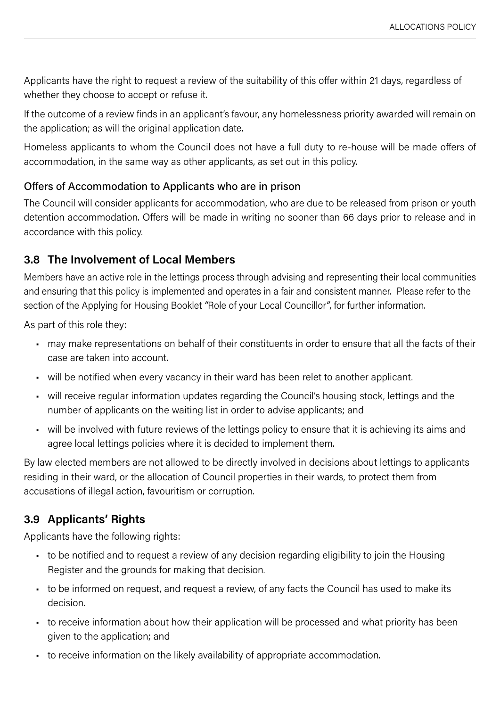<span id="page-19-0"></span>Applicants have the right to request a review of the suitability of this offer within 21 days, regardless of whether they choose to accept or refuse it.

If the outcome of a review finds in an applicant's favour, any homelessness priority awarded will remain on the application; as will the original application date.

Homeless applicants to whom the Council does not have a full duty to re-house will be made offers of accommodation, in the same way as other applicants, as set out in this policy.

# Offers of Accommodation to Applicants who are in prison

The Council will consider applicants for accommodation, who are due to be released from prison or youth detention accommodation. Offers will be made in writing no sooner than 66 days prior to release and in accordance with this policy.

# **3.8 The Involvement of Local Members**

Members have an active role in the lettings process through advising and representing their local communities and ensuring that this policy is implemented and operates in a fair and consistent manner. Please refer to the section of the Applying for Housing Booklet *"*Role of your Local Councillor*"*, for further information.

As part of this role they:

- may make representations on behalf of their constituents in order to ensure that all the facts of their case are taken into account.
- will be notified when every vacancy in their ward has been relet to another applicant.
- will receive regular information updates regarding the Council's housing stock, lettings and the number of applicants on the waiting list in order to advise applicants; and
- will be involved with future reviews of the lettings policy to ensure that it is achieving its aims and agree local lettings policies where it is decided to implement them.

By law elected members are not allowed to be directly involved in decisions about lettings to applicants residing in their ward, or the allocation of Council properties in their wards, to protect them from accusations of illegal action, favouritism or corruption.

# **3.9 Applicants' Rights**

Applicants have the following rights:

- to be notified and to request a review of any decision regarding eligibility to join the Housing Register and the grounds for making that decision.
- to be informed on request, and request a review, of any facts the Council has used to make its decision.
- to receive information about how their application will be processed and what priority has been given to the application; and
- to receive information on the likely availability of appropriate accommodation.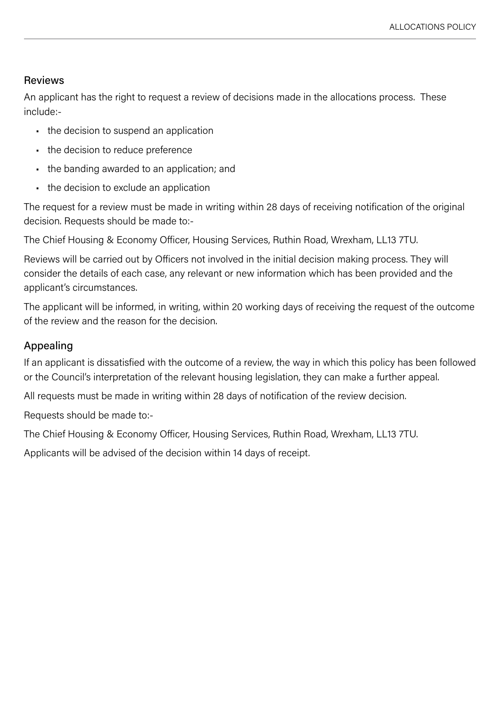# Reviews

An applicant has the right to request a review of decisions made in the allocations process. These include:-

- the decision to suspend an application
- the decision to reduce preference
- the banding awarded to an application; and
- the decision to exclude an application

The request for a review must be made in writing within 28 days of receiving notification of the original decision. Requests should be made to:-

The Chief Housing & Economy Officer, Housing Services, Ruthin Road, Wrexham, LL13 7TU.

Reviews will be carried out by Officers not involved in the initial decision making process. They will consider the details of each case, any relevant or new information which has been provided and the applicant's circumstances.

The applicant will be informed, in writing, within 20 working days of receiving the request of the outcome of the review and the reason for the decision.

# Appealing

If an applicant is dissatisfied with the outcome of a review, the way in which this policy has been followed or the Council's interpretation of the relevant housing legislation, they can make a further appeal.

All requests must be made in writing within 28 days of notification of the review decision.

Requests should be made to:-

The Chief Housing & Economy Officer, Housing Services, Ruthin Road, Wrexham, LL13 7TU.

Applicants will be advised of the decision within 14 days of receipt.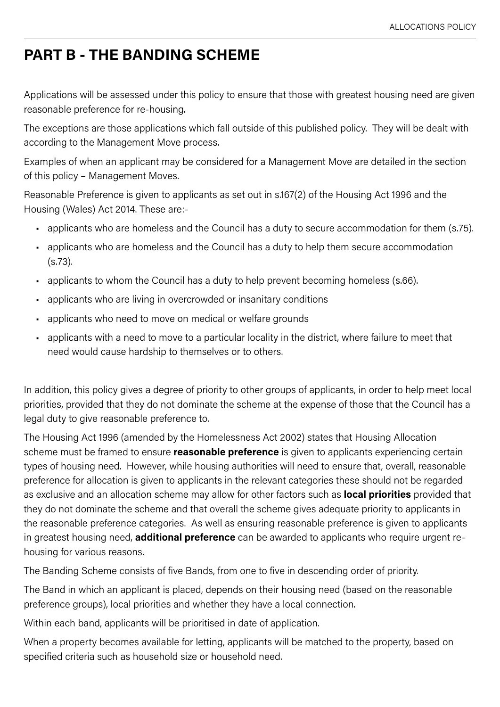# <span id="page-21-0"></span>**PART B - THE BANDING SCHEME**

Applications will be assessed under this policy to ensure that those with greatest housing need are given reasonable preference for re-housing.

The exceptions are those applications which fall outside of this published policy. They will be dealt with according to the Management Move process.

Examples of when an applicant may be considered for a Management Move are detailed in the section of this policy – Management Moves.

Reasonable Preference is given to applicants as set out in s.167(2) of the Housing Act 1996 and the Housing (Wales) Act 2014. These are:-

- applicants who are homeless and the Council has a duty to secure accommodation for them (s.75).
- applicants who are homeless and the Council has a duty to help them secure accommodation (s.73).
- applicants to whom the Council has a duty to help prevent becoming homeless (s.66).
- applicants who are living in overcrowded or insanitary conditions
- applicants who need to move on medical or welfare grounds
- applicants with a need to move to a particular locality in the district, where failure to meet that need would cause hardship to themselves or to others.

In addition, this policy gives a degree of priority to other groups of applicants, in order to help meet local priorities, provided that they do not dominate the scheme at the expense of those that the Council has a legal duty to give reasonable preference to.

The Housing Act 1996 (amended by the Homelessness Act 2002) states that Housing Allocation scheme must be framed to ensure **reasonable preference** is given to applicants experiencing certain types of housing need. However, while housing authorities will need to ensure that, overall, reasonable preference for allocation is given to applicants in the relevant categories these should not be regarded as exclusive and an allocation scheme may allow for other factors such as **local priorities** provided that they do not dominate the scheme and that overall the scheme gives adequate priority to applicants in the reasonable preference categories. As well as ensuring reasonable preference is given to applicants in greatest housing need, **additional preference** can be awarded to applicants who require urgent rehousing for various reasons.

The Banding Scheme consists of five Bands, from one to five in descending order of priority.

The Band in which an applicant is placed, depends on their housing need (based on the reasonable preference groups), local priorities and whether they have a local connection.

Within each band, applicants will be prioritised in date of application.

When a property becomes available for letting, applicants will be matched to the property, based on specified criteria such as household size or household need.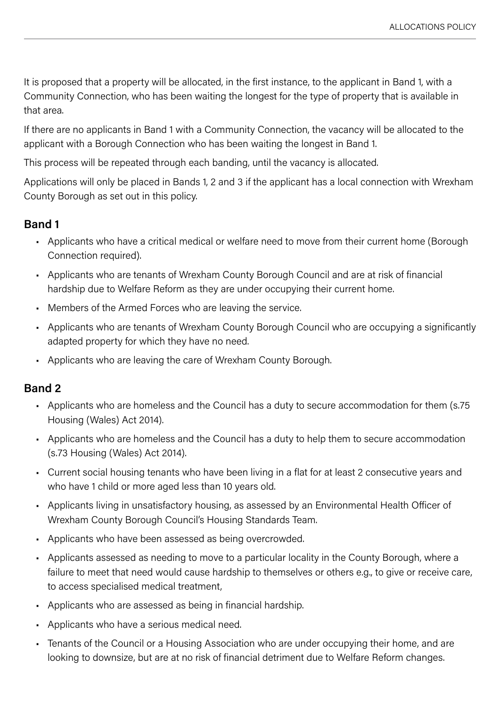<span id="page-22-0"></span>It is proposed that a property will be allocated, in the first instance, to the applicant in Band 1, with a Community Connection, who has been waiting the longest for the type of property that is available in that area.

If there are no applicants in Band 1 with a Community Connection, the vacancy will be allocated to the applicant with a Borough Connection who has been waiting the longest in Band 1.

This process will be repeated through each banding, until the vacancy is allocated.

Applications will only be placed in Bands 1, 2 and 3 if the applicant has a local connection with Wrexham County Borough as set out in this policy.

#### **Band 1**

- Applicants who have a critical medical or welfare need to move from their current home (Borough Connection required).
- Applicants who are tenants of Wrexham County Borough Council and are at risk of financial hardship due to Welfare Reform as they are under occupying their current home.
- Members of the Armed Forces who are leaving the service.
- Applicants who are tenants of Wrexham County Borough Council who are occupying a significantly adapted property for which they have no need.
- Applicants who are leaving the care of Wrexham County Borough.

# **Band 2**

- Applicants who are homeless and the Council has a duty to secure accommodation for them (s.75 Housing (Wales) Act 2014).
- Applicants who are homeless and the Council has a duty to help them to secure accommodation (s.73 Housing (Wales) Act 2014).
- Current social housing tenants who have been living in a flat for at least 2 consecutive years and who have 1 child or more aged less than 10 years old.
- Applicants living in unsatisfactory housing, as assessed by an Environmental Health Officer of Wrexham County Borough Council's Housing Standards Team.
- Applicants who have been assessed as being overcrowded.
- Applicants assessed as needing to move to a particular locality in the County Borough, where a failure to meet that need would cause hardship to themselves or others e.g., to give or receive care, to access specialised medical treatment,
- Applicants who are assessed as being in financial hardship.
- Applicants who have a serious medical need.
- Tenants of the Council or a Housing Association who are under occupying their home, and are looking to downsize, but are at no risk of financial detriment due to Welfare Reform changes.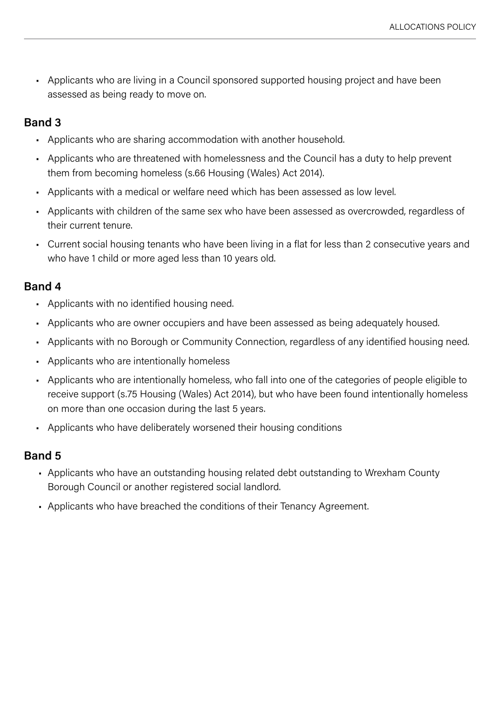<span id="page-23-0"></span>• Applicants who are living in a Council sponsored supported housing project and have been assessed as being ready to move on.

#### **Band 3**

- Applicants who are sharing accommodation with another household.
- Applicants who are threatened with homelessness and the Council has a duty to help prevent them from becoming homeless (s.66 Housing (Wales) Act 2014).
- Applicants with a medical or welfare need which has been assessed as low level.
- Applicants with children of the same sex who have been assessed as overcrowded, regardless of their current tenure.
- Current social housing tenants who have been living in a flat for less than 2 consecutive years and who have 1 child or more aged less than 10 years old.

#### **Band 4**

- Applicants with no identified housing need.
- Applicants who are owner occupiers and have been assessed as being adequately housed.
- Applicants with no Borough or Community Connection, regardless of any identified housing need.
- Applicants who are intentionally homeless
- Applicants who are intentionally homeless, who fall into one of the categories of people eligible to receive support (s.75 Housing (Wales) Act 2014), but who have been found intentionally homeless on more than one occasion during the last 5 years.
- Applicants who have deliberately worsened their housing conditions

#### **Band 5**

- Applicants who have an outstanding housing related debt outstanding to Wrexham County Borough Council or another registered social landlord.
- Applicants who have breached the conditions of their Tenancy Agreement.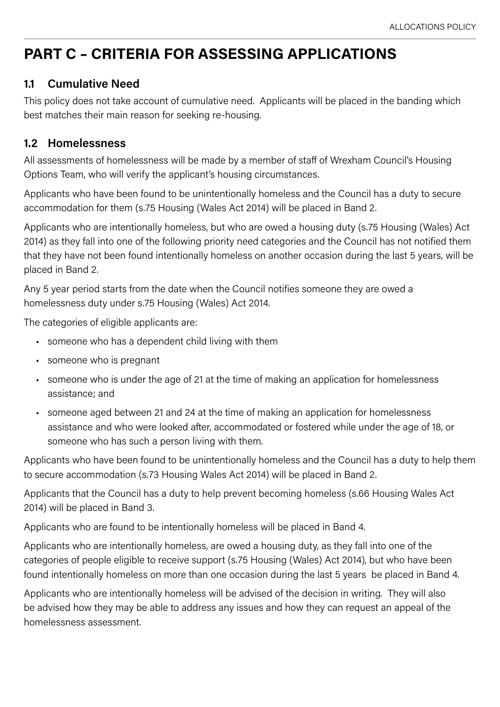# <span id="page-24-0"></span>**PART C – CRITERIA FOR ASSESSING APPLICATIONS**

# **1.1 Cumulative Need**

This policy does not take account of cumulative need. Applicants will be placed in the banding which best matches their main reason for seeking re-housing.

# **1.2 Homelessness**

All assessments of homelessness will be made by a member of staff of Wrexham Council's Housing Options Team, who will verify the applicant's housing circumstances.

Applicants who have been found to be unintentionally homeless and the Council has a duty to secure accommodation for them (s.75 Housing (Wales Act 2014) will be placed in Band 2.

Applicants who are intentionally homeless, but who are owed a housing duty (s.75 Housing (Wales) Act 2014) as they fall into one of the following priority need categories and the Council has not notified them that they have not been found intentionally homeless on another occasion during the last 5 years, will be placed in Band 2.

Any 5 year period starts from the date when the Council notifies someone they are owed a homelessness duty under s.75 Housing (Wales) Act 2014.

The categories of eligible applicants are:

- someone who has a dependent child living with them
- someone who is pregnant
- someone who is under the age of 21 at the time of making an application for homelessness assistance; and
- someone aged between 21 and 24 at the time of making an application for homelessness assistance and who were looked after, accommodated or fostered while under the age of 18, or someone who has such a person living with them.

Applicants who have been found to be unintentionally homeless and the Council has a duty to help them to secure accommodation (s.73 Housing Wales Act 2014) will be placed in Band 2.

Applicants that the Council has a duty to help prevent becoming homeless (s.66 Housing Wales Act 2014) will be placed in Band 3.

Applicants who are found to be intentionally homeless will be placed in Band 4.

Applicants who are intentionally homeless, are owed a housing duty, as they fall into one of the categories of people eligible to receive support (s.75 Housing (Wales) Act 2014), but who have been found intentionally homeless on more than one occasion during the last 5 years be placed in Band 4.

Applicants who are intentionally homeless will be advised of the decision in writing. They will also be advised how they may be able to address any issues and how they can request an appeal of the homelessness assessment.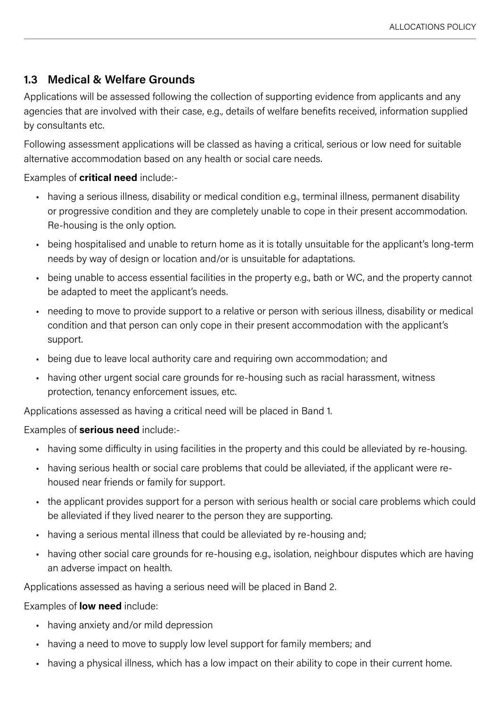# <span id="page-25-0"></span>**1.3 Medical & Welfare Grounds**

Applications will be assessed following the collection of supporting evidence from applicants and any agencies that are involved with their case, e.g., details of welfare benefits received, information supplied by consultants etc.

Following assessment applications will be classed as having a critical, serious or low need for suitable alternative accommodation based on any health or social care needs.

#### Examples of **critical need** include:-

- having a serious illness, disability or medical condition e.g., terminal illness, permanent disability or progressive condition and they are completely unable to cope in their present accommodation. Re-housing is the only option.
- being hospitalised and unable to return home as it is totally unsuitable for the applicant's long-term needs by way of design or location and/or is unsuitable for adaptations.
- being unable to access essential facilities in the property e.g., bath or WC, and the property cannot be adapted to meet the applicant's needs.
- needing to move to provide support to a relative or person with serious illness, disability or medical condition and that person can only cope in their present accommodation with the applicant's support.
- being due to leave local authority care and requiring own accommodation; and
- having other urgent social care grounds for re-housing such as racial harassment, witness protection, tenancy enforcement issues, etc.

Applications assessed as having a critical need will be placed in Band 1.

#### Examples of **serious need** include:-

- having some difficulty in using facilities in the property and this could be alleviated by re-housing.
- having serious health or social care problems that could be alleviated, if the applicant were rehoused near friends or family for support.
- the applicant provides support for a person with serious health or social care problems which could be alleviated if they lived nearer to the person they are supporting.
- having a serious mental illness that could be alleviated by re-housing and;
- having other social care grounds for re-housing e.g., isolation, neighbour disputes which are having an adverse impact on health.

Applications assessed as having a serious need will be placed in Band 2.

#### Examples of **low need** include:

- having anxiety and/or mild depression
- having a need to move to supply low level support for family members; and
- having a physical illness, which has a low impact on their ability to cope in their current home.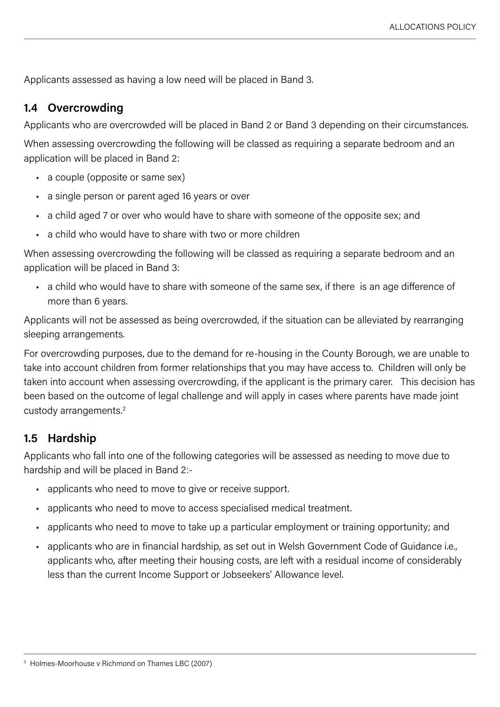<span id="page-26-0"></span>Applicants assessed as having a low need will be placed in Band 3.

#### **1.4 Overcrowding**

Applicants who are overcrowded will be placed in Band 2 or Band 3 depending on their circumstances.

When assessing overcrowding the following will be classed as requiring a separate bedroom and an application will be placed in Band 2:

- a couple (opposite or same sex)
- a single person or parent aged 16 years or over
- a child aged 7 or over who would have to share with someone of the opposite sex; and
- a child who would have to share with two or more children

When assessing overcrowding the following will be classed as requiring a separate bedroom and an application will be placed in Band 3:

• a child who would have to share with someone of the same sex, if there is an age difference of more than 6 years.

Applicants will not be assessed as being overcrowded, if the situation can be alleviated by rearranging sleeping arrangements.

For overcrowding purposes, due to the demand for re-housing in the County Borough, we are unable to take into account children from former relationships that you may have access to. Children will only be taken into account when assessing overcrowding, if the applicant is the primary carer. This decision has been based on the outcome of legal challenge and will apply in cases where parents have made joint custody arrangements.2

# **1.5 Hardship**

Applicants who fall into one of the following categories will be assessed as needing to move due to hardship and will be placed in Band 2:-

- applicants who need to move to give or receive support.
- applicants who need to move to access specialised medical treatment.
- applicants who need to move to take up a particular employment or training opportunity; and
- applicants who are in financial hardship, as set out in Welsh Government Code of Guidance i.e., applicants who, after meeting their housing costs, are left with a residual income of considerably less than the current Income Support or Jobseekers' Allowance level.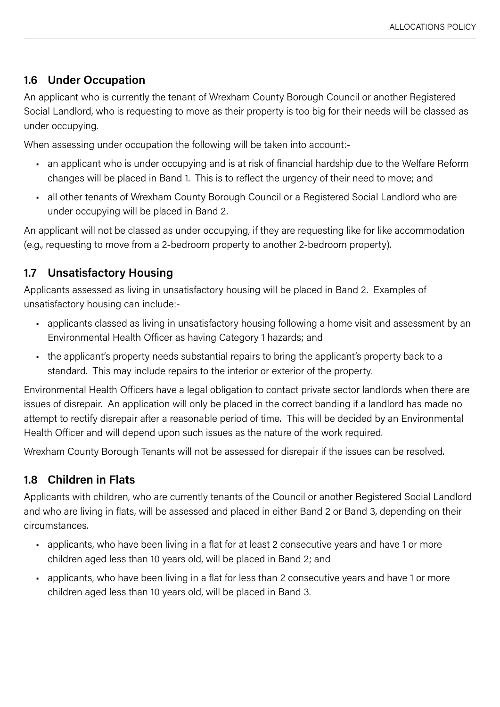# <span id="page-27-0"></span>**1.6 Under Occupation**

An applicant who is currently the tenant of Wrexham County Borough Council or another Registered Social Landlord, who is requesting to move as their property is too big for their needs will be classed as under occupying.

When assessing under occupation the following will be taken into account:-

- an applicant who is under occupying and is at risk of financial hardship due to the Welfare Reform changes will be placed in Band 1. This is to reflect the urgency of their need to move; and
- all other tenants of Wrexham County Borough Council or a Registered Social Landlord who are under occupying will be placed in Band 2.

An applicant will not be classed as under occupying, if they are requesting like for like accommodation (e.g., requesting to move from a 2-bedroom property to another 2-bedroom property).

# **1.7 Unsatisfactory Housing**

Applicants assessed as living in unsatisfactory housing will be placed in Band 2. Examples of unsatisfactory housing can include:-

- applicants classed as living in unsatisfactory housing following a home visit and assessment by an Environmental Health Officer as having Category 1 hazards; and
- the applicant's property needs substantial repairs to bring the applicant's property back to a standard. This may include repairs to the interior or exterior of the property.

Environmental Health Officers have a legal obligation to contact private sector landlords when there are issues of disrepair. An application will only be placed in the correct banding if a landlord has made no attempt to rectify disrepair after a reasonable period of time. This will be decided by an Environmental Health Officer and will depend upon such issues as the nature of the work required.

Wrexham County Borough Tenants will not be assessed for disrepair if the issues can be resolved.

# **1.8 Children in Flats**

Applicants with children, who are currently tenants of the Council or another Registered Social Landlord and who are living in flats, will be assessed and placed in either Band 2 or Band 3, depending on their circumstances.

- applicants, who have been living in a flat for at least 2 consecutive years and have 1 or more children aged less than 10 years old, will be placed in Band 2; and
- applicants, who have been living in a flat for less than 2 consecutive years and have 1 or more children aged less than 10 years old, will be placed in Band 3.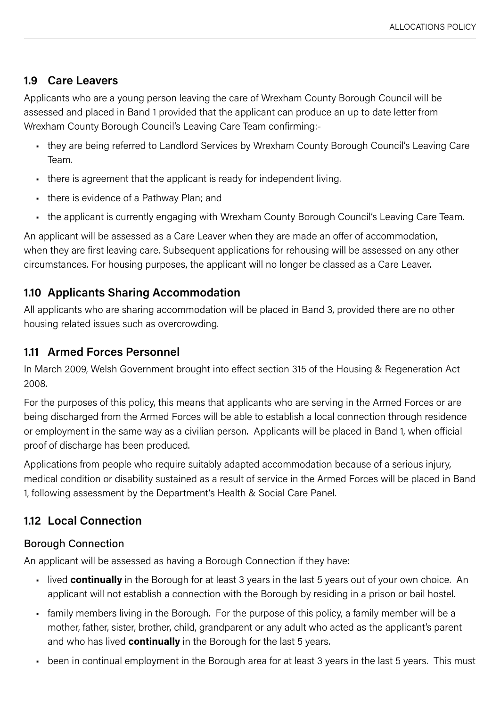# <span id="page-28-0"></span>**1.9 Care Leavers**

Applicants who are a young person leaving the care of Wrexham County Borough Council will be assessed and placed in Band 1 provided that the applicant can produce an up to date letter from Wrexham County Borough Council's Leaving Care Team confirming:-

- they are being referred to Landlord Services by Wrexham County Borough Council's Leaving Care Team.
- there is agreement that the applicant is ready for independent living.
- there is evidence of a Pathway Plan; and
- the applicant is currently engaging with Wrexham County Borough Council's Leaving Care Team.

An applicant will be assessed as a Care Leaver when they are made an offer of accommodation, when they are first leaving care. Subsequent applications for rehousing will be assessed on any other circumstances. For housing purposes, the applicant will no longer be classed as a Care Leaver.

# **1.10 Applicants Sharing Accommodation**

All applicants who are sharing accommodation will be placed in Band 3, provided there are no other housing related issues such as overcrowding.

# **1.11 Armed Forces Personnel**

In March 2009, Welsh Government brought into effect section 315 of the Housing & Regeneration Act 2008.

For the purposes of this policy, this means that applicants who are serving in the Armed Forces or are being discharged from the Armed Forces will be able to establish a local connection through residence or employment in the same way as a civilian person. Applicants will be placed in Band 1, when official proof of discharge has been produced.

Applications from people who require suitably adapted accommodation because of a serious injury, medical condition or disability sustained as a result of service in the Armed Forces will be placed in Band 1, following assessment by the Department's Health & Social Care Panel.

# **1.12 Local Connection**

# Borough Connection

An applicant will be assessed as having a Borough Connection if they have:

- lived **continually** in the Borough for at least 3 years in the last 5 years out of your own choice. An applicant will not establish a connection with the Borough by residing in a prison or bail hostel.
- family members living in the Borough. For the purpose of this policy, a family member will be a mother, father, sister, brother, child, grandparent or any adult who acted as the applicant's parent and who has lived **continually** in the Borough for the last 5 years.
- been in continual employment in the Borough area for at least 3 years in the last 5 years. This must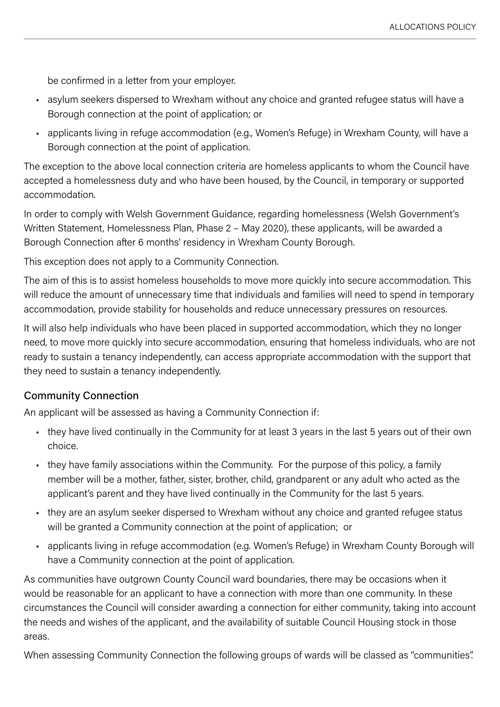be confirmed in a letter from your employer.

- asylum seekers dispersed to Wrexham without any choice and granted refugee status will have a Borough connection at the point of application; or
- applicants living in refuge accommodation (e.g., Women's Refuge) in Wrexham County, will have a Borough connection at the point of application.

The exception to the above local connection criteria are homeless applicants to whom the Council have accepted a homelessness duty and who have been housed, by the Council, in temporary or supported accommodation.

In order to comply with Welsh Government Guidance, regarding homelessness (Welsh Government's Written Statement, Homelessness Plan, Phase 2 – May 2020), these applicants, will be awarded a Borough Connection after 6 months' residency in Wrexham County Borough.

This exception does not apply to a Community Connection.

The aim of this is to assist homeless households to move more quickly into secure accommodation. This will reduce the amount of unnecessary time that individuals and families will need to spend in temporary accommodation, provide stability for households and reduce unnecessary pressures on resources.

It will also help individuals who have been placed in supported accommodation, which they no longer need, to move more quickly into secure accommodation, ensuring that homeless individuals, who are not ready to sustain a tenancy independently, can access appropriate accommodation with the support that they need to sustain a tenancy independently.

#### Community Connection

An applicant will be assessed as having a Community Connection if:

- they have lived continually in the Community for at least 3 years in the last 5 years out of their own choice.
- they have family associations within the Community. For the purpose of this policy, a family member will be a mother, father, sister, brother, child, grandparent or any adult who acted as the applicant's parent and they have lived continually in the Community for the last 5 years.
- they are an asylum seeker dispersed to Wrexham without any choice and granted refugee status will be granted a Community connection at the point of application; or
- applicants living in refuge accommodation (e.g. Women's Refuge) in Wrexham County Borough will have a Community connection at the point of application.

As communities have outgrown County Council ward boundaries, there may be occasions when it would be reasonable for an applicant to have a connection with more than one community. In these circumstances the Council will consider awarding a connection for either community, taking into account the needs and wishes of the applicant, and the availability of suitable Council Housing stock in those areas.

When assessing Community Connection the following groups of wards will be classed as "communities".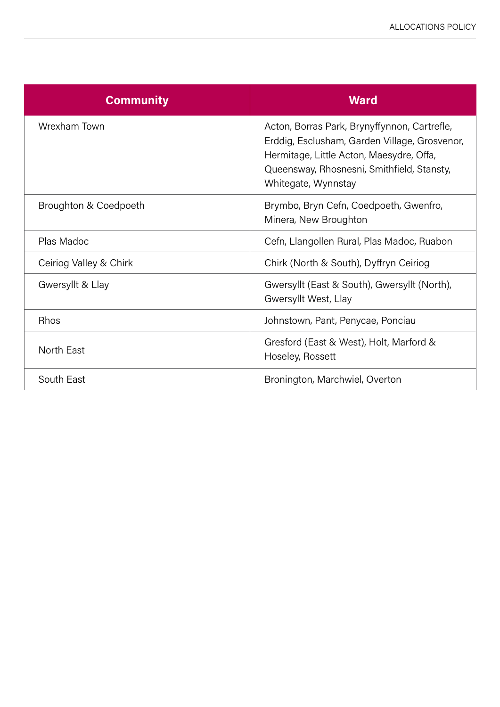| <b>Community</b>       | <b>Ward</b>                                                                                                                                                                                                    |
|------------------------|----------------------------------------------------------------------------------------------------------------------------------------------------------------------------------------------------------------|
| Wrexham Town           | Acton, Borras Park, Brynyffynnon, Cartrefle,<br>Erddig, Esclusham, Garden Village, Grosvenor,<br>Hermitage, Little Acton, Maesydre, Offa,<br>Queensway, Rhosnesni, Smithfield, Stansty,<br>Whitegate, Wynnstay |
| Broughton & Coedpoeth  | Brymbo, Bryn Cefn, Coedpoeth, Gwenfro,<br>Minera, New Broughton                                                                                                                                                |
| Plas Madoc             | Cefn, Llangollen Rural, Plas Madoc, Ruabon                                                                                                                                                                     |
| Ceiriog Valley & Chirk | Chirk (North & South), Dyffryn Ceiriog                                                                                                                                                                         |
| Gwersyllt & Llay       | Gwersyllt (East & South), Gwersyllt (North),<br>Gwersyllt West, Llay                                                                                                                                           |
| <b>Rhos</b>            | Johnstown, Pant, Penycae, Ponciau                                                                                                                                                                              |
| North East             | Gresford (East & West), Holt, Marford &<br>Hoseley, Rossett                                                                                                                                                    |
| South East             | Bronington, Marchwiel, Overton                                                                                                                                                                                 |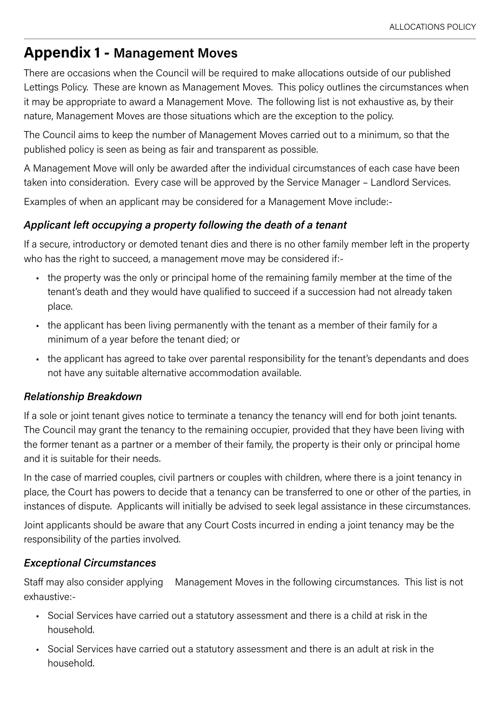# <span id="page-31-0"></span>**Appendix 1 - Management Moves**

There are occasions when the Council will be required to make allocations outside of our published Lettings Policy. These are known as Management Moves. This policy outlines the circumstances when it may be appropriate to award a Management Move. The following list is not exhaustive as, by their nature, Management Moves are those situations which are the exception to the policy.

The Council aims to keep the number of Management Moves carried out to a minimum, so that the published policy is seen as being as fair and transparent as possible.

A Management Move will only be awarded after the individual circumstances of each case have been taken into consideration. Every case will be approved by the Service Manager – Landlord Services.

Examples of when an applicant may be considered for a Management Move include:-

#### *Applicant left occupying a property following the death of a tenant*

If a secure, introductory or demoted tenant dies and there is no other family member left in the property who has the right to succeed, a management move may be considered if:-

- the property was the only or principal home of the remaining family member at the time of the tenant's death and they would have qualified to succeed if a succession had not already taken place.
- the applicant has been living permanently with the tenant as a member of their family for a minimum of a year before the tenant died; or
- the applicant has agreed to take over parental responsibility for the tenant's dependants and does not have any suitable alternative accommodation available.

#### *Relationship Breakdown*

If a sole or joint tenant gives notice to terminate a tenancy the tenancy will end for both joint tenants. The Council may grant the tenancy to the remaining occupier, provided that they have been living with the former tenant as a partner or a member of their family, the property is their only or principal home and it is suitable for their needs.

In the case of married couples, civil partners or couples with children, where there is a joint tenancy in place, the Court has powers to decide that a tenancy can be transferred to one or other of the parties, in instances of dispute. Applicants will initially be advised to seek legal assistance in these circumstances.

Joint applicants should be aware that any Court Costs incurred in ending a joint tenancy may be the responsibility of the parties involved.

#### *Exceptional Circumstances*

Staff may also consider applying Management Moves in the following circumstances. This list is not exhaustive:-

- Social Services have carried out a statutory assessment and there is a child at risk in the household.
- Social Services have carried out a statutory assessment and there is an adult at risk in the household.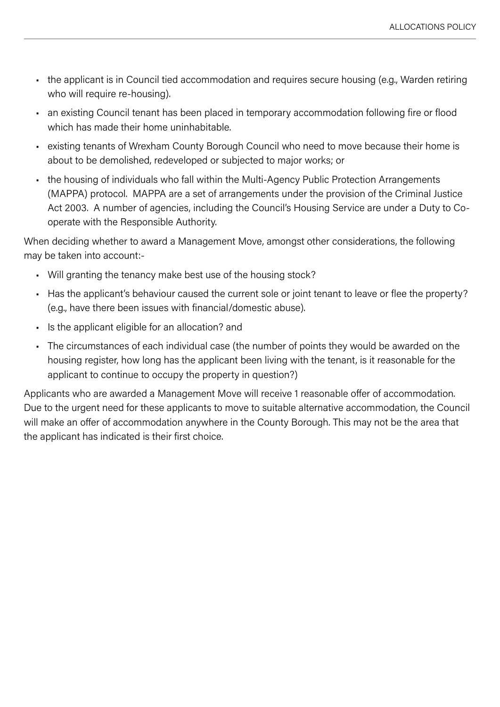- the applicant is in Council tied accommodation and requires secure housing (e.g., Warden retiring who will require re-housing).
- an existing Council tenant has been placed in temporary accommodation following fire or flood which has made their home uninhabitable.
- existing tenants of Wrexham County Borough Council who need to move because their home is about to be demolished, redeveloped or subjected to major works; or
- the housing of individuals who fall within the Multi-Agency Public Protection Arrangements (MAPPA) protocol. MAPPA are a set of arrangements under the provision of the Criminal Justice Act 2003. A number of agencies, including the Council's Housing Service are under a Duty to Cooperate with the Responsible Authority.

When deciding whether to award a Management Move, amongst other considerations, the following may be taken into account:-

- Will granting the tenancy make best use of the housing stock?
- Has the applicant's behaviour caused the current sole or joint tenant to leave or flee the property? (e.g., have there been issues with financial/domestic abuse).
- Is the applicant eligible for an allocation? and
- The circumstances of each individual case (the number of points they would be awarded on the housing register, how long has the applicant been living with the tenant, is it reasonable for the applicant to continue to occupy the property in question?)

Applicants who are awarded a Management Move will receive 1 reasonable offer of accommodation. Due to the urgent need for these applicants to move to suitable alternative accommodation, the Council will make an offer of accommodation anywhere in the County Borough. This may not be the area that the applicant has indicated is their first choice.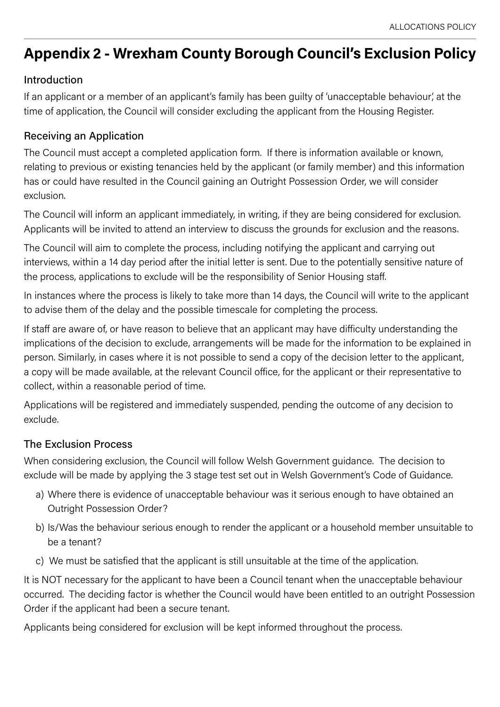# <span id="page-33-0"></span>**Appendix 2 - Wrexham County Borough Council's Exclusion Policy**

# Introduction

If an applicant or a member of an applicant's family has been guilty of 'unacceptable behaviour', at the time of application, the Council will consider excluding the applicant from the Housing Register.

#### Receiving an Application

The Council must accept a completed application form. If there is information available or known, relating to previous or existing tenancies held by the applicant (or family member) and this information has or could have resulted in the Council gaining an Outright Possession Order, we will consider exclusion.

The Council will inform an applicant immediately, in writing, if they are being considered for exclusion. Applicants will be invited to attend an interview to discuss the grounds for exclusion and the reasons.

The Council will aim to complete the process, including notifying the applicant and carrying out interviews, within a 14 day period after the initial letter is sent. Due to the potentially sensitive nature of the process, applications to exclude will be the responsibility of Senior Housing staff.

In instances where the process is likely to take more than 14 days, the Council will write to the applicant to advise them of the delay and the possible timescale for completing the process.

If staff are aware of, or have reason to believe that an applicant may have difficulty understanding the implications of the decision to exclude, arrangements will be made for the information to be explained in person. Similarly, in cases where it is not possible to send a copy of the decision letter to the applicant, a copy will be made available, at the relevant Council office, for the applicant or their representative to collect, within a reasonable period of time.

Applications will be registered and immediately suspended, pending the outcome of any decision to exclude.

#### The Exclusion Process

When considering exclusion, the Council will follow Welsh Government guidance. The decision to exclude will be made by applying the 3 stage test set out in Welsh Government's Code of Guidance.

- a) Where there is evidence of unacceptable behaviour was it serious enough to have obtained an Outright Possession Order?
- b) Is/Was the behaviour serious enough to render the applicant or a household member unsuitable to be a tenant?
- c) We must be satisfied that the applicant is still unsuitable at the time of the application.

It is NOT necessary for the applicant to have been a Council tenant when the unacceptable behaviour occurred. The deciding factor is whether the Council would have been entitled to an outright Possession Order if the applicant had been a secure tenant.

Applicants being considered for exclusion will be kept informed throughout the process.